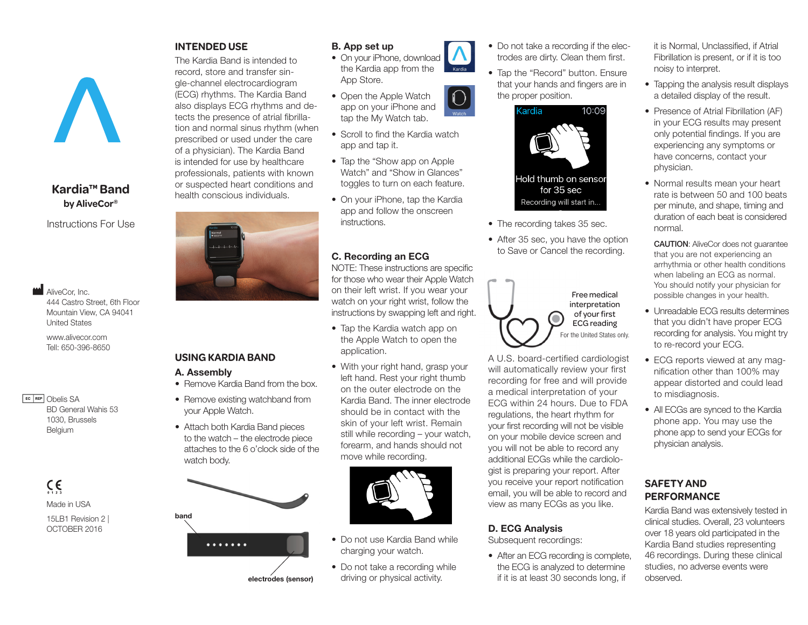# **Kardia™ Band by AliveCor®**

Instructions For Use

**M** AliveCor, Inc. 444 Castro Street, 6th Floor Mountain View, CA 94041 United States

www.alivecor.com Tell: 650-396-8650

**EC REP** Obelis SA BD General Wahis 53 1030, Brussels Belgium

> $C \in$ Made in USA

15LB1 Revision 2 | OCTOBER 2016

#### **INTENDED USE**

The Kardia Band is intended to record, store and transfer single-channel electrocardiogram (ECG) rhythms. The Kardia Band also displays ECG rhythms and detects the presence of atrial fibrillation and normal sinus rhythm (when prescribed or used under the care of a physician). The Kardia Band is intended for use by healthcare professionals, patients with known or suspected heart conditions and health conscious individuals.



# **USING KARDIA BAND**

#### A. Assembly

- Remove Kardia Band from the box.
- Remove existing watchband from your Apple Watch.
- Attach both Kardia Band pieces to the watch – the electrode piece attaches to the 6 o'clock side of the watch body.



- 
- electrodes (sensor)

# • On your iPhone, download the Kardia app from the

• Open the Apple Watch app on your iPhone and tap the My Watch tab.

B. App set up

App Store.

- Scroll to find the Kardia watch app and tap it.
- Tap the "Show app on Apple Watch" and "Show in Glances" toggles to turn on each feature.
- On your iPhone, tap the Kardia app and follow the onscreen instructions.

### C. Recording an ECG

NOTE: These instructions are specific for those who wear their Apple Watch on their left wrist. If you wear your watch on your right wrist, follow the instructions by swapping left and right.

- Tap the Kardia watch app on the Apple Watch to open the application.
- With your right hand, grasp your left hand. Rest your right thumb on the outer electrode on the Kardia Band. The inner electrode should be in contact with the skin of your left wrist. Remain still while recording – your watch, forearm, and hands should not move while recording.



- Do not use Kardia Band while charging your watch.
- Do not take a recording while driving or physical activity.
- Do not take a recording if the electrodes are dirty. Clean them first.
- Tap the "Record" button. Ensure that your hands and fingers are in the proper position.



- The recording takes 35 sec.
- After 35 sec, you have the option to Save or Cancel the recording.



A U.S. board-certified cardiologist will automatically review your first recording for free and will provide a medical interpretation of your ECG within 24 hours. Due to FDA regulations, the heart rhythm for your first recording will not be visible on your mobile device screen and you will not be able to record any additional ECGs while the cardiologist is preparing your report. After you receive your report notification email, you will be able to record and view as many ECGs as you like.

# D. ECG Analysis

Subsequent recordings:

• After an ECG recording is complete, the ECG is analyzed to determine if it is at least 30 seconds long, if

it is Normal, Unclassified, if Atrial Fibrillation is present, or if it is too noisy to interpret.

- Tapping the analysis result displays a detailed display of the result.
- Presence of Atrial Fibrillation (AF) in your ECG results may present only potential findings. If you are experiencing any symptoms or have concerns, contact your physician.
- Normal results mean your heart rate is between 50 and 100 beats per minute, and shape, timing and duration of each beat is considered normal.

CAUTION: AliveCor does not guarantee that you are not experiencing an arrhythmia or other health conditions when labeling an ECG as normal. You should notify your physician for possible changes in your health.

- Unreadable ECG results determines that you didn't have proper ECG recording for analysis. You might try to re-record your ECG.
- ECG reports viewed at any magnification other than 100% may appear distorted and could lead to misdiagnosis.
- All ECGs are synced to the Kardia phone app. You may use the phone app to send your ECGs for physician analysis.

#### **SAFETY AND PERFORMANCE**

Kardia Band was extensively tested in clinical studies. Overall, 23 volunteers over 18 years old participated in the Kardia Band studies representing 46 recordings. During these clinical studies, no adverse events were observed.